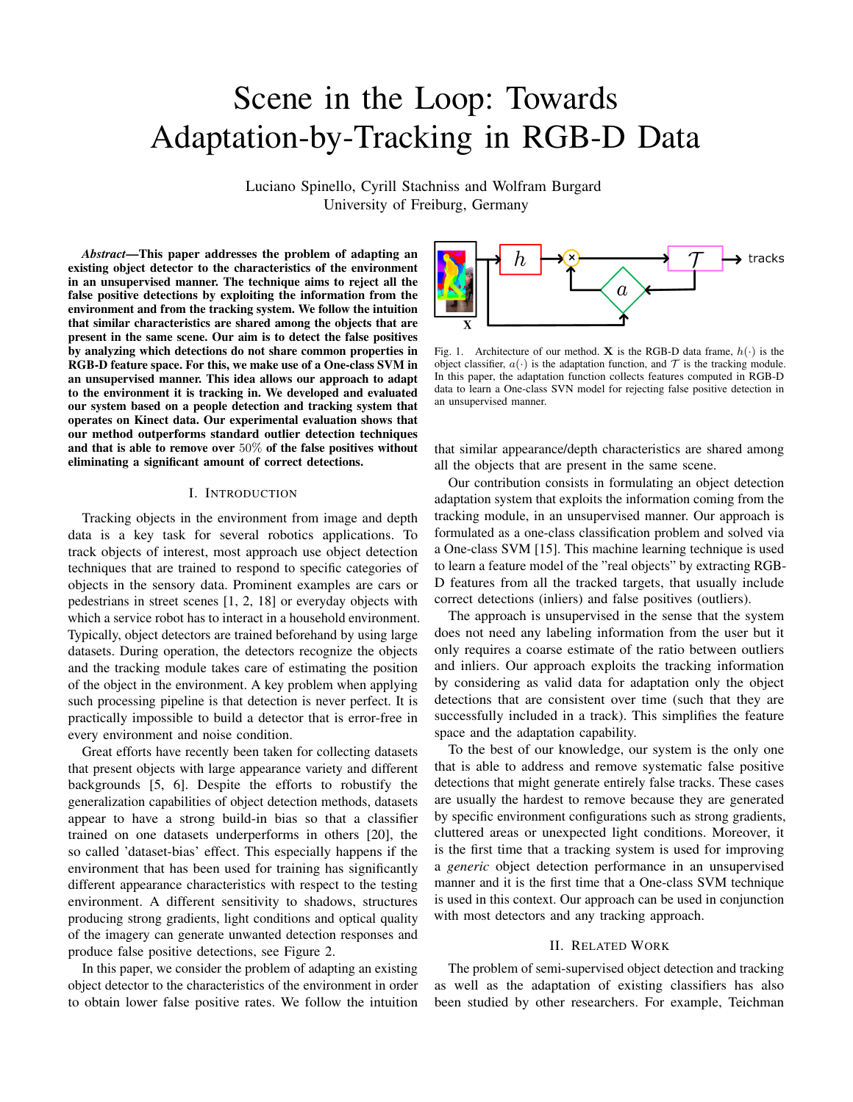# Scene in the Loop: Towards Adaptation-by-Tracking in RGB-D Data

Luciano Spinello, Cyrill Stachniss and Wolfram Burgard University of Freiburg, Germany

*Abstract*—This paper addresses the problem of adapting an existing object detector to the characteristics of the environment in an unsupervised manner. The technique aims to reject all the false positive detections by exploiting the information from the environment and from the tracking system. We follow the intuition that similar characteristics are shared among the objects that are present in the same scene. Our aim is to detect the false positives by analyzing which detections do not share common properties in RGB-D feature space. For this, we make use of a One-class SVM in an unsupervised manner. This idea allows our approach to adapt to the environment it is tracking in. We developed and evaluated our system based on a people detection and tracking system that operates on Kinect data. Our experimental evaluation shows that our method outperforms standard outlier detection techniques and that is able to remove over 50% of the false positives without eliminating a significant amount of correct detections.

## I. INTRODUCTION

Tracking objects in the environment from image and depth data is a key task for several robotics applications. To track objects of interest, most approach use object detection techniques that are trained to respond to specific categories of objects in the sensory data. Prominent examples are cars or pedestrians in street scenes [1, 2, 18] or everyday objects with which a service robot has to interact in a household environment. Typically, object detectors are trained beforehand by using large datasets. During operation, the detectors recognize the objects and the tracking module takes care of estimating the position of the object in the environment. A key problem when applying such processing pipeline is that detection is never perfect. It is practically impossible to build a detector that is error-free in every environment and noise condition.

Great efforts have recently been taken for collecting datasets that present objects with large appearance variety and different backgrounds [5, 6]. Despite the efforts to robustify the generalization capabilities of object detection methods, datasets appear to have a strong build-in bias so that a classifier trained on one datasets underperforms in others [20], the so called 'dataset-bias' effect. This especially happens if the environment that has been used for training has significantly different appearance characteristics with respect to the testing environment. A different sensitivity to shadows, structures producing strong gradients, light conditions and optical quality of the imagery can generate unwanted detection responses and produce false positive detections, see Figure 2.

In this paper, we consider the problem of adapting an existing object detector to the characteristics of the environment in order to obtain lower false positive rates. We follow the intuition



Fig. 1. Architecture of our method. **X** is the RGB-D data frame,  $h(\cdot)$  is the object classifier,  $a(\cdot)$  is the adaptation function, and  $\tau$  is the tracking module. In this paper, the adaptation function collects features computed in RGB-D data to learn a One-class SVN model for rejecting false positive detection in an unsupervised manner.

that similar appearance/depth characteristics are shared among all the objects that are present in the same scene.

Our contribution consists in formulating an object detection adaptation system that exploits the information coming from the tracking module, in an unsupervised manner. Our approach is formulated as a one-class classification problem and solved via a One-class SVM [15]. This machine learning technique is used to learn a feature model of the "real objects" by extracting RGB-D features from all the tracked targets, that usually include correct detections (inliers) and false positives (outliers).

The approach is unsupervised in the sense that the system does not need any labeling information from the user but it only requires a coarse estimate of the ratio between outliers and inliers. Our approach exploits the tracking information by considering as valid data for adaptation only the object detections that are consistent over time (such that they are successfully included in a track). This simplifies the feature space and the adaptation capability.

To the best of our knowledge, our system is the only one that is able to address and remove systematic false positive detections that might generate entirely false tracks. These cases are usually the hardest to remove because they are generated by specific environment configurations such as strong gradients, cluttered areas or unexpected light conditions. Moreover, it is the first time that a tracking system is used for improving a *generic* object detection performance in an unsupervised manner and it is the first time that a One-class SVM technique is used in this context. Our approach can be used in conjunction with most detectors and any tracking approach.

### II. RELATED WORK

The problem of semi-supervised object detection and tracking as well as the adaptation of existing classifiers has also been studied by other researchers. For example, Teichman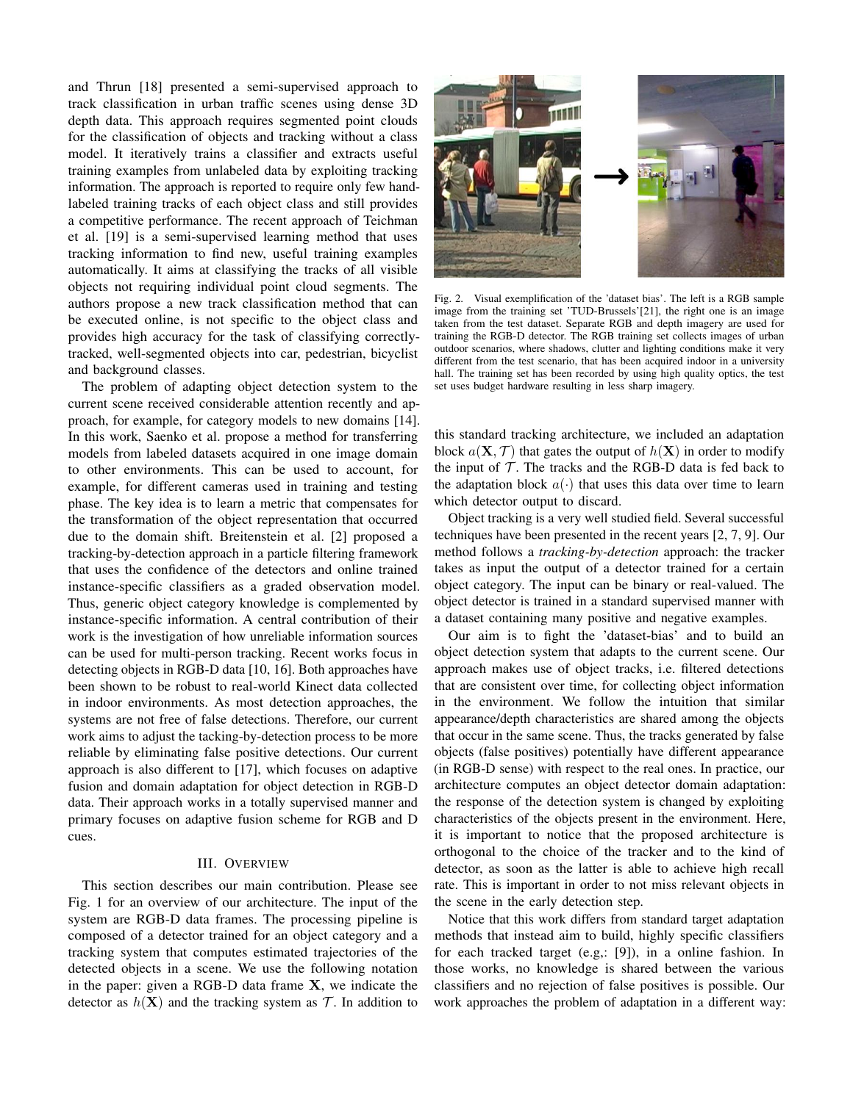and Thrun [18] presented a semi-supervised approach to track classification in urban traffic scenes using dense 3D depth data. This approach requires segmented point clouds for the classification of objects and tracking without a class model. It iteratively trains a classifier and extracts useful training examples from unlabeled data by exploiting tracking information. The approach is reported to require only few handlabeled training tracks of each object class and still provides a competitive performance. The recent approach of Teichman et al. [19] is a semi-supervised learning method that uses tracking information to find new, useful training examples automatically. It aims at classifying the tracks of all visible objects not requiring individual point cloud segments. The authors propose a new track classification method that can be executed online, is not specific to the object class and provides high accuracy for the task of classifying correctlytracked, well-segmented objects into car, pedestrian, bicyclist and background classes.

The problem of adapting object detection system to the current scene received considerable attention recently and approach, for example, for category models to new domains [14]. In this work, Saenko et al. propose a method for transferring models from labeled datasets acquired in one image domain to other environments. This can be used to account, for example, for different cameras used in training and testing phase. The key idea is to learn a metric that compensates for the transformation of the object representation that occurred due to the domain shift. Breitenstein et al. [2] proposed a tracking-by-detection approach in a particle filtering framework that uses the confidence of the detectors and online trained instance-specific classifiers as a graded observation model. Thus, generic object category knowledge is complemented by instance-specific information. A central contribution of their work is the investigation of how unreliable information sources can be used for multi-person tracking. Recent works focus in detecting objects in RGB-D data [10, 16]. Both approaches have been shown to be robust to real-world Kinect data collected in indoor environments. As most detection approaches, the systems are not free of false detections. Therefore, our current work aims to adjust the tacking-by-detection process to be more reliable by eliminating false positive detections. Our current approach is also different to [17], which focuses on adaptive fusion and domain adaptation for object detection in RGB-D data. Their approach works in a totally supervised manner and primary focuses on adaptive fusion scheme for RGB and D cues.

## III. OVERVIEW

This section describes our main contribution. Please see Fig. 1 for an overview of our architecture. The input of the system are RGB-D data frames. The processing pipeline is composed of a detector trained for an object category and a tracking system that computes estimated trajectories of the detected objects in a scene. We use the following notation in the paper: given a RGB-D data frame X, we indicate the detector as  $h(\mathbf{X})$  and the tracking system as  $\mathcal{T}$ . In addition to



Fig. 2. Visual exemplification of the 'dataset bias'. The left is a RGB sample image from the training set 'TUD-Brussels'[21], the right one is an image taken from the test dataset. Separate RGB and depth imagery are used for training the RGB-D detector. The RGB training set collects images of urban outdoor scenarios, where shadows, clutter and lighting conditions make it very different from the test scenario, that has been acquired indoor in a university hall. The training set has been recorded by using high quality optics, the test set uses budget hardware resulting in less sharp imagery.

this standard tracking architecture, we included an adaptation block  $a(\mathbf{X}, \mathcal{T})$  that gates the output of  $h(\mathbf{X})$  in order to modify the input of  $\mathcal T$ . The tracks and the RGB-D data is fed back to the adaptation block  $a(\cdot)$  that uses this data over time to learn which detector output to discard.

Object tracking is a very well studied field. Several successful techniques have been presented in the recent years [2, 7, 9]. Our method follows a *tracking-by-detection* approach: the tracker takes as input the output of a detector trained for a certain object category. The input can be binary or real-valued. The object detector is trained in a standard supervised manner with a dataset containing many positive and negative examples.

Our aim is to fight the 'dataset-bias' and to build an object detection system that adapts to the current scene. Our approach makes use of object tracks, i.e. filtered detections that are consistent over time, for collecting object information in the environment. We follow the intuition that similar appearance/depth characteristics are shared among the objects that occur in the same scene. Thus, the tracks generated by false objects (false positives) potentially have different appearance (in RGB-D sense) with respect to the real ones. In practice, our architecture computes an object detector domain adaptation: the response of the detection system is changed by exploiting characteristics of the objects present in the environment. Here, it is important to notice that the proposed architecture is orthogonal to the choice of the tracker and to the kind of detector, as soon as the latter is able to achieve high recall rate. This is important in order to not miss relevant objects in the scene in the early detection step.

Notice that this work differs from standard target adaptation methods that instead aim to build, highly specific classifiers for each tracked target (e.g,: [9]), in a online fashion. In those works, no knowledge is shared between the various classifiers and no rejection of false positives is possible. Our work approaches the problem of adaptation in a different way: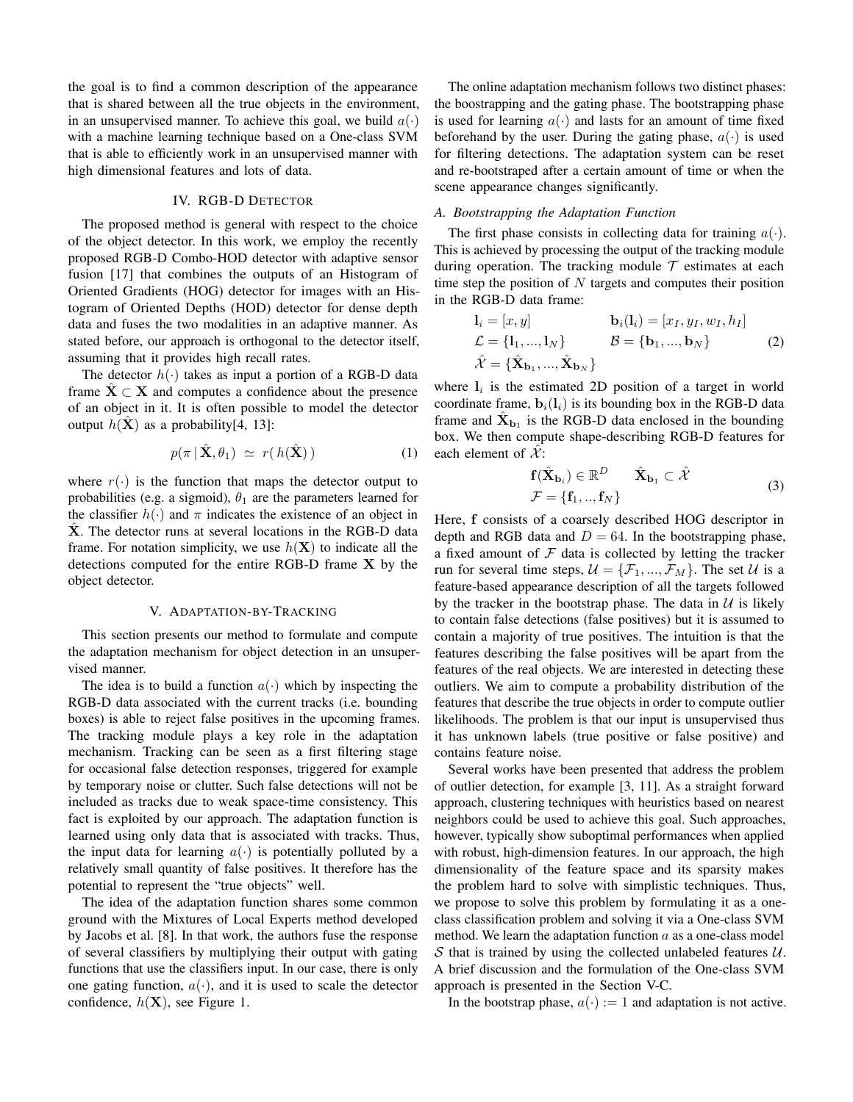the goal is to find a common description of the appearance that is shared between all the true objects in the environment, in an unsupervised manner. To achieve this goal, we build  $a(\cdot)$ with a machine learning technique based on a One-class SVM that is able to efficiently work in an unsupervised manner with high dimensional features and lots of data.

## IV. RGB-D DETECTOR

The proposed method is general with respect to the choice of the object detector. In this work, we employ the recently proposed RGB-D Combo-HOD detector with adaptive sensor fusion [17] that combines the outputs of an Histogram of Oriented Gradients (HOG) detector for images with an Histogram of Oriented Depths (HOD) detector for dense depth data and fuses the two modalities in an adaptive manner. As stated before, our approach is orthogonal to the detector itself, assuming that it provides high recall rates.

The detector  $h(\cdot)$  takes as input a portion of a RGB-D data frame  $\hat{X} \subset X$  and computes a confidence about the presence of an object in it. It is often possible to model the detector output  $h(\mathbf{X})$  as a probability[4, 13]:

$$
p(\pi \,|\, \hat{\mathbf{X}}, \theta_1) \,\simeq\, r(\,h(\hat{\mathbf{X}})) \tag{1}
$$

where  $r(\cdot)$  is the function that maps the detector output to probabilities (e.g. a sigmoid),  $\theta_1$  are the parameters learned for the classifier  $h(\cdot)$  and  $\pi$  indicates the existence of an object in X. The detector runs at several locations in the RGB-D data frame. For notation simplicity, we use  $h(X)$  to indicate all the detections computed for the entire RGB-D frame  $X$  by the object detector.

#### V. ADAPTATION-BY-TRACKING

This section presents our method to formulate and compute the adaptation mechanism for object detection in an unsupervised manner.

The idea is to build a function  $a(\cdot)$  which by inspecting the RGB-D data associated with the current tracks (i.e. bounding boxes) is able to reject false positives in the upcoming frames. The tracking module plays a key role in the adaptation mechanism. Tracking can be seen as a first filtering stage for occasional false detection responses, triggered for example by temporary noise or clutter. Such false detections will not be included as tracks due to weak space-time consistency. This fact is exploited by our approach. The adaptation function is learned using only data that is associated with tracks. Thus, the input data for learning  $a(\cdot)$  is potentially polluted by a relatively small quantity of false positives. It therefore has the potential to represent the "true objects" well.

The idea of the adaptation function shares some common ground with the Mixtures of Local Experts method developed by Jacobs et al. [8]. In that work, the authors fuse the response of several classifiers by multiplying their output with gating functions that use the classifiers input. In our case, there is only one gating function,  $a(\cdot)$ , and it is used to scale the detector confidence,  $h(\mathbf{X})$ , see Figure 1.

The online adaptation mechanism follows two distinct phases: the boostrapping and the gating phase. The bootstrapping phase is used for learning  $a(\cdot)$  and lasts for an amount of time fixed beforehand by the user. During the gating phase,  $a(\cdot)$  is used for filtering detections. The adaptation system can be reset and re-bootstraped after a certain amount of time or when the scene appearance changes significantly.

### *A. Bootstrapping the Adaptation Function*

The first phase consists in collecting data for training  $a(\cdot)$ . This is achieved by processing the output of the tracking module during operation. The tracking module  $T$  estimates at each time step the position of  $N$  targets and computes their position in the RGB-D data frame:

$$
\mathbf{l}_{i} = [x, y] \qquad \qquad \mathbf{b}_{i}(\mathbf{l}_{i}) = [x_{I}, y_{I}, w_{I}, h_{I}]
$$
\n
$$
\mathcal{L} = \{\mathbf{l}_{1}, ..., \mathbf{l}_{N}\} \qquad \qquad \mathcal{B} = \{\mathbf{b}_{1}, ..., \mathbf{b}_{N}\}
$$
\n
$$
\hat{\mathcal{X}} = \{\hat{\mathbf{X}}_{\mathbf{b}_{1}}, ..., \hat{\mathbf{X}}_{\mathbf{b}_{N}}\}
$$
\n(2)

where  $l_i$  is the estimated 2D position of a target in world coordinate frame,  $\mathbf{b}_i(l_i)$  is its bounding box in the RGB-D data frame and  $\hat{\mathbf{X}}_{\mathbf{b}_1}$  is the RGB-D data enclosed in the bounding box. We then compute shape-describing RGB-D features for each element of  $\mathcal{X}$ :

$$
\mathbf{f}(\hat{\mathbf{X}}_{\mathbf{b}_i}) \in \mathbb{R}^D \qquad \hat{\mathbf{X}}_{\mathbf{b}_1} \subset \hat{\mathcal{X}}
$$
  

$$
\mathcal{F} = \{\mathbf{f}_1, ..., \mathbf{f}_N\}
$$
 (3)

Here, f consists of a coarsely described HOG descriptor in depth and RGB data and  $D = 64$ . In the bootstrapping phase, a fixed amount of  $F$  data is collected by letting the tracker run for several time steps,  $\mathcal{U} = {\mathcal{F}_1, ..., \mathcal{F}_M}$ . The set  $\mathcal{U}$  is a feature-based appearance description of all the targets followed by the tracker in the bootstrap phase. The data in  $U$  is likely to contain false detections (false positives) but it is assumed to contain a majority of true positives. The intuition is that the features describing the false positives will be apart from the features of the real objects. We are interested in detecting these outliers. We aim to compute a probability distribution of the features that describe the true objects in order to compute outlier likelihoods. The problem is that our input is unsupervised thus it has unknown labels (true positive or false positive) and contains feature noise.

Several works have been presented that address the problem of outlier detection, for example [3, 11]. As a straight forward approach, clustering techniques with heuristics based on nearest neighbors could be used to achieve this goal. Such approaches, however, typically show suboptimal performances when applied with robust, high-dimension features. In our approach, the high dimensionality of the feature space and its sparsity makes the problem hard to solve with simplistic techniques. Thus, we propose to solve this problem by formulating it as a oneclass classification problem and solving it via a One-class SVM method. We learn the adaptation function  $a$  as a one-class model S that is trained by using the collected unlabeled features  $U$ . A brief discussion and the formulation of the One-class SVM approach is presented in the Section V-C.

In the bootstrap phase,  $a(\cdot) := 1$  and adaptation is not active.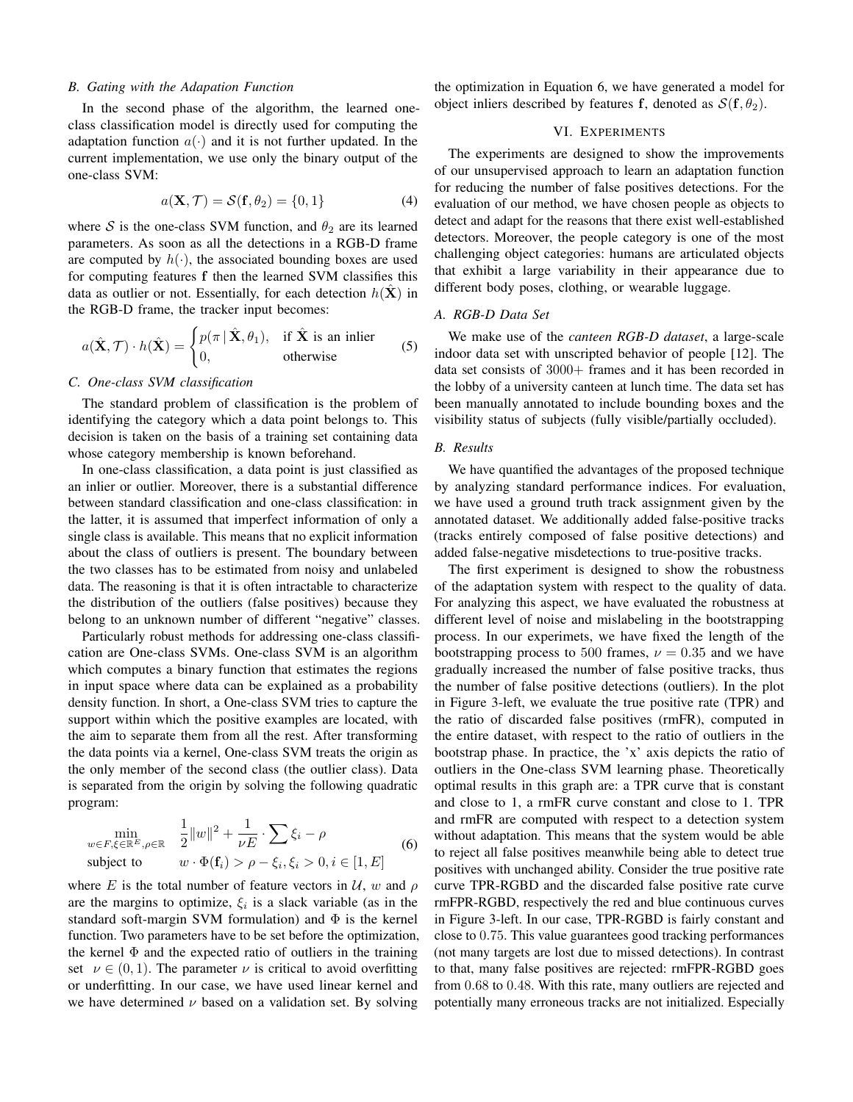#### *B. Gating with the Adapation Function*

In the second phase of the algorithm, the learned oneclass classification model is directly used for computing the adaptation function  $a(\cdot)$  and it is not further updated. In the current implementation, we use only the binary output of the one-class SVM:

$$
a(\mathbf{X}, \mathcal{T}) = \mathcal{S}(\mathbf{f}, \theta_2) = \{0, 1\}
$$
 (4)

where S is the one-class SVM function, and  $\theta_2$  are its learned parameters. As soon as all the detections in a RGB-D frame are computed by  $h(\cdot)$ , the associated bounding boxes are used for computing features f then the learned SVM classifies this data as outlier or not. Essentially, for each detection  $h(\mathbf{X})$  in the RGB-D frame, the tracker input becomes:

$$
a(\hat{\mathbf{X}}, \mathcal{T}) \cdot h(\hat{\mathbf{X}}) = \begin{cases} p(\pi \mid \hat{\mathbf{X}}, \theta_1), & \text{if } \hat{\mathbf{X}} \text{ is an inlier} \\ 0, & \text{otherwise} \end{cases}
$$
(5)

## *C. One-class SVM classification*

The standard problem of classification is the problem of identifying the category which a data point belongs to. This decision is taken on the basis of a training set containing data whose category membership is known beforehand.

In one-class classification, a data point is just classified as an inlier or outlier. Moreover, there is a substantial difference between standard classification and one-class classification: in the latter, it is assumed that imperfect information of only a single class is available. This means that no explicit information about the class of outliers is present. The boundary between the two classes has to be estimated from noisy and unlabeled data. The reasoning is that it is often intractable to characterize the distribution of the outliers (false positives) because they belong to an unknown number of different "negative" classes.

Particularly robust methods for addressing one-class classification are One-class SVMs. One-class SVM is an algorithm which computes a binary function that estimates the regions in input space where data can be explained as a probability density function. In short, a One-class SVM tries to capture the support within which the positive examples are located, with the aim to separate them from all the rest. After transforming the data points via a kernel, One-class SVM treats the origin as the only member of the second class (the outlier class). Data is separated from the origin by solving the following quadratic program:

$$
\min_{w \in F, \xi \in \mathbb{R}^E, \rho \in \mathbb{R}} \quad \frac{1}{2} \|w\|^2 + \frac{1}{\nu E} \cdot \sum \xi_i - \rho
$$
\n
$$
\text{subject to} \quad w \cdot \Phi(\mathbf{f}_i) > \rho - \xi_i, \xi_i > 0, i \in [1, E] \tag{6}
$$

where E is the total number of feature vectors in  $\mathcal{U}$ , w and  $\rho$ are the margins to optimize,  $\xi_i$  is a slack variable (as in the standard soft-margin SVM formulation) and  $\Phi$  is the kernel function. Two parameters have to be set before the optimization, the kernel  $\Phi$  and the expected ratio of outliers in the training set  $\nu \in (0, 1)$ . The parameter  $\nu$  is critical to avoid overfitting or underfitting. In our case, we have used linear kernel and we have determined  $\nu$  based on a validation set. By solving

the optimization in Equation 6, we have generated a model for object inliers described by features f, denoted as  $S(f, \theta_2)$ .

## VI. EXPERIMENTS

The experiments are designed to show the improvements of our unsupervised approach to learn an adaptation function for reducing the number of false positives detections. For the evaluation of our method, we have chosen people as objects to detect and adapt for the reasons that there exist well-established detectors. Moreover, the people category is one of the most challenging object categories: humans are articulated objects that exhibit a large variability in their appearance due to different body poses, clothing, or wearable luggage.

## *A. RGB-D Data Set*

We make use of the *canteen RGB-D dataset*, a large-scale indoor data set with unscripted behavior of people [12]. The data set consists of 3000+ frames and it has been recorded in the lobby of a university canteen at lunch time. The data set has been manually annotated to include bounding boxes and the visibility status of subjects (fully visible/partially occluded).

#### *B. Results*

We have quantified the advantages of the proposed technique by analyzing standard performance indices. For evaluation, we have used a ground truth track assignment given by the annotated dataset. We additionally added false-positive tracks (tracks entirely composed of false positive detections) and added false-negative misdetections to true-positive tracks.

The first experiment is designed to show the robustness of the adaptation system with respect to the quality of data. For analyzing this aspect, we have evaluated the robustness at different level of noise and mislabeling in the bootstrapping process. In our experimets, we have fixed the length of the bootstrapping process to 500 frames,  $\nu = 0.35$  and we have gradually increased the number of false positive tracks, thus the number of false positive detections (outliers). In the plot in Figure 3-left, we evaluate the true positive rate (TPR) and the ratio of discarded false positives (rmFR), computed in the entire dataset, with respect to the ratio of outliers in the bootstrap phase. In practice, the 'x' axis depicts the ratio of outliers in the One-class SVM learning phase. Theoretically optimal results in this graph are: a TPR curve that is constant and close to 1, a rmFR curve constant and close to 1. TPR and rmFR are computed with respect to a detection system without adaptation. This means that the system would be able to reject all false positives meanwhile being able to detect true positives with unchanged ability. Consider the true positive rate curve TPR-RGBD and the discarded false positive rate curve rmFPR-RGBD, respectively the red and blue continuous curves in Figure 3-left. In our case, TPR-RGBD is fairly constant and close to 0.75. This value guarantees good tracking performances (not many targets are lost due to missed detections). In contrast to that, many false positives are rejected: rmFPR-RGBD goes from 0.68 to 0.48. With this rate, many outliers are rejected and potentially many erroneous tracks are not initialized. Especially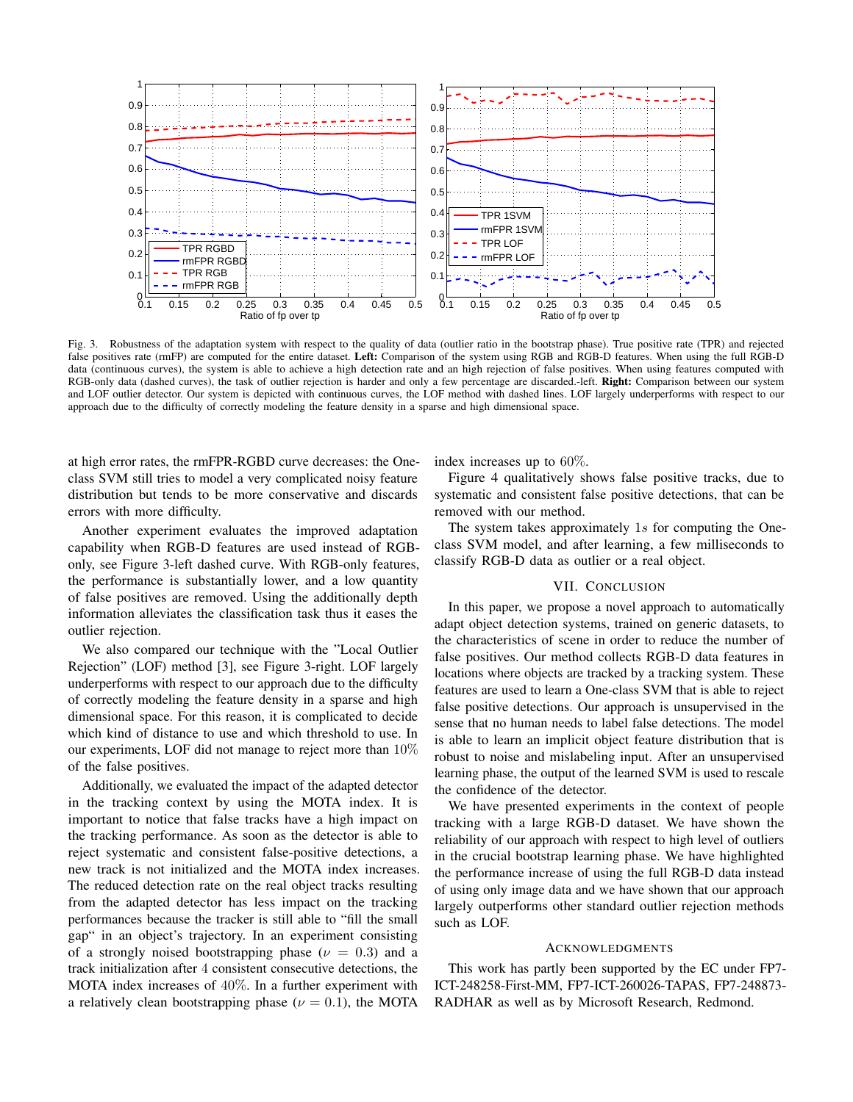

Fig. 3. Robustness of the adaptation system with respect to the quality of data (outlier ratio in the bootstrap phase). True positive rate (TPR) and rejected false positives rate (rmFP) are computed for the entire dataset. Left: Comparison of the system using RGB and RGB-D features. When using the full RGB-D data (continuous curves), the system is able to achieve a high detection rate and an high rejection of false positives. When using features computed with RGB-only data (dashed curves), the task of outlier rejection is harder and only a few percentage are discarded.-left. Right: Comparison between our system and LOF outlier detector. Our system is depicted with continuous curves, the LOF method with dashed lines. LOF largely underperforms with respect to our approach due to the difficulty of correctly modeling the feature density in a sparse and high dimensional space.

at high error rates, the rmFPR-RGBD curve decreases: the Oneclass SVM still tries to model a very complicated noisy feature distribution but tends to be more conservative and discards errors with more difficulty.

Another experiment evaluates the improved adaptation capability when RGB-D features are used instead of RGBonly, see Figure 3-left dashed curve. With RGB-only features, the performance is substantially lower, and a low quantity of false positives are removed. Using the additionally depth information alleviates the classification task thus it eases the outlier rejection.

We also compared our technique with the "Local Outlier Rejection" (LOF) method [3], see Figure 3-right. LOF largely underperforms with respect to our approach due to the difficulty of correctly modeling the feature density in a sparse and high dimensional space. For this reason, it is complicated to decide which kind of distance to use and which threshold to use. In our experiments, LOF did not manage to reject more than 10% of the false positives.

Additionally, we evaluated the impact of the adapted detector in the tracking context by using the MOTA index. It is important to notice that false tracks have a high impact on the tracking performance. As soon as the detector is able to reject systematic and consistent false-positive detections, a new track is not initialized and the MOTA index increases. The reduced detection rate on the real object tracks resulting from the adapted detector has less impact on the tracking performances because the tracker is still able to "fill the small gap" in an object's trajectory. In an experiment consisting of a strongly noised bootstrapping phase ( $\nu = 0.3$ ) and a track initialization after 4 consistent consecutive detections, the MOTA index increases of 40%. In a further experiment with a relatively clean bootstrapping phase ( $\nu = 0.1$ ), the MOTA

index increases up to 60%.

Figure 4 qualitatively shows false positive tracks, due to systematic and consistent false positive detections, that can be removed with our method.

The system takes approximately  $1s$  for computing the Oneclass SVM model, and after learning, a few milliseconds to classify RGB-D data as outlier or a real object.

#### VII. CONCLUSION

In this paper, we propose a novel approach to automatically adapt object detection systems, trained on generic datasets, to the characteristics of scene in order to reduce the number of false positives. Our method collects RGB-D data features in locations where objects are tracked by a tracking system. These features are used to learn a One-class SVM that is able to reject false positive detections. Our approach is unsupervised in the sense that no human needs to label false detections. The model is able to learn an implicit object feature distribution that is robust to noise and mislabeling input. After an unsupervised learning phase, the output of the learned SVM is used to rescale the confidence of the detector.

We have presented experiments in the context of people tracking with a large RGB-D dataset. We have shown the reliability of our approach with respect to high level of outliers in the crucial bootstrap learning phase. We have highlighted the performance increase of using the full RGB-D data instead of using only image data and we have shown that our approach largely outperforms other standard outlier rejection methods such as LOF.

#### ACKNOWLEDGMENTS

This work has partly been supported by the EC under FP7- ICT-248258-First-MM, FP7-ICT-260026-TAPAS, FP7-248873- RADHAR as well as by Microsoft Research, Redmond.